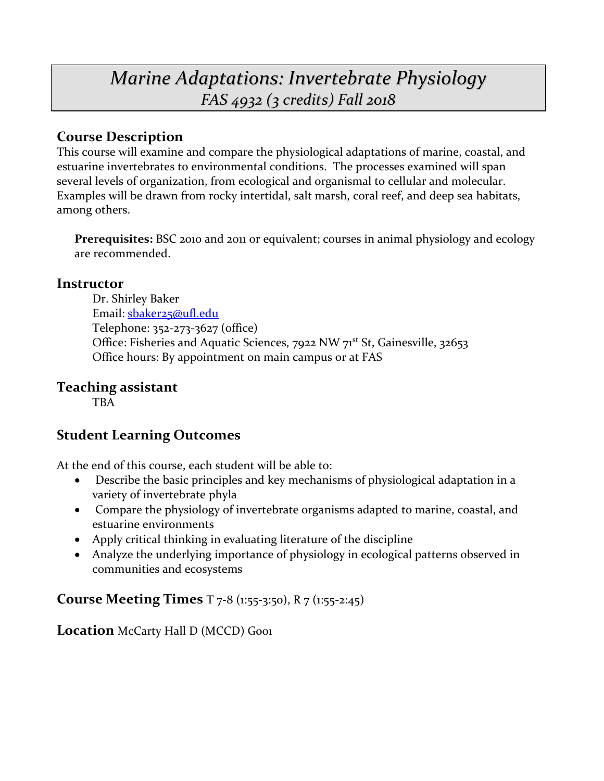# *Marine Adaptations: Invertebrate Physiology FAS 4932 (3 credits) Fall 2018*

# **Course Description**

This course will examine and compare the physiological adaptations of marine, coastal, and estuarine invertebrates to environmental conditions. The processes examined will span several levels of organization, from ecological and organismal to cellular and molecular. Examples will be drawn from rocky intertidal, salt marsh, coral reef, and deep sea habitats, among others.

**Prerequisites:** BSC 2010 and 2011 or equivalent; courses in animal physiology and ecology are recommended.

### **Instructor**

Dr. Shirley Baker Email: [sbaker25@ufl.edu](mailto:sbaker25@ufl.edu) Telephone: 352-273-3627 (office) Office: Fisheries and Aquatic Sciences, 7922 NW 71<sup>st</sup> St, Gainesville, 32653 Office hours: By appointment on main campus or at FAS

# **Teaching assistant**

TBA

# **Student Learning Outcomes**

At the end of this course, each student will be able to:

- Describe the basic principles and key mechanisms of physiological adaptation in a variety of invertebrate phyla
- Compare the physiology of invertebrate organisms adapted to marine, coastal, and estuarine environments
- Apply critical thinking in evaluating literature of the discipline
- Analyze the underlying importance of physiology in ecological patterns observed in communities and ecosystems

# **Course Meeting Times** T 7-8 (1:55-3:50), R 7 (1:55-2:45)

**Location** McCarty Hall D (MCCD) Gool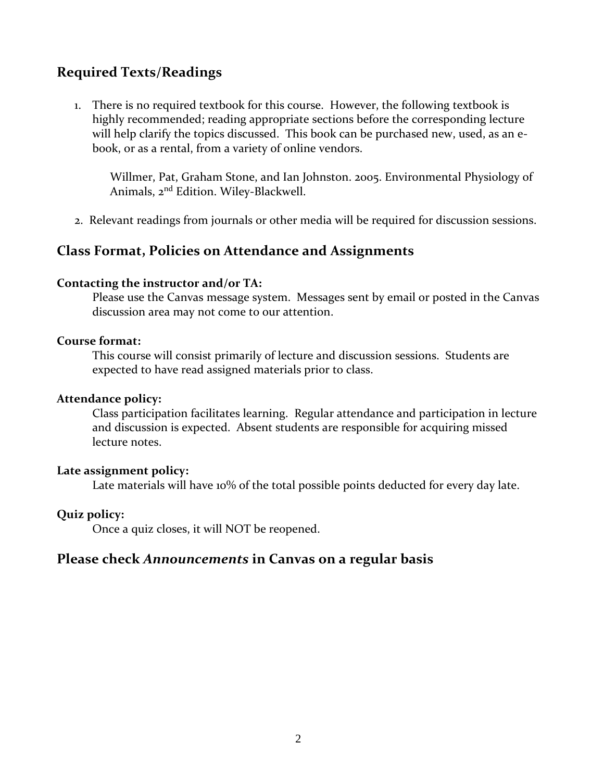### **Required Texts/Readings**

1. There is no required textbook for this course. However, the following textbook is highly recommended; reading appropriate sections before the corresponding lecture will help clarify the topics discussed. This book can be purchased new, used, as an ebook, or as a rental, from a variety of online vendors.

Willmer, Pat, Graham Stone, and Ian Johnston. 2005. Environmental Physiology of Animals, 2nd Edition. Wiley-Blackwell.

2. Relevant readings from journals or other media will be required for discussion sessions.

### **Class Format, Policies on Attendance and Assignments**

#### **Contacting the instructor and/or TA:**

Please use the Canvas message system. Messages sent by email or posted in the Canvas discussion area may not come to our attention.

#### **Course format:**

This course will consist primarily of lecture and discussion sessions. Students are expected to have read assigned materials prior to class.

#### **Attendance policy:**

Class participation facilitates learning. Regular attendance and participation in lecture and discussion is expected. Absent students are responsible for acquiring missed lecture notes.

#### **Late assignment policy:**

Late materials will have 10% of the total possible points deducted for every day late.

#### **Quiz policy:**

Once a quiz closes, it will NOT be reopened.

### **Please check** *Announcements* **in Canvas on a regular basis**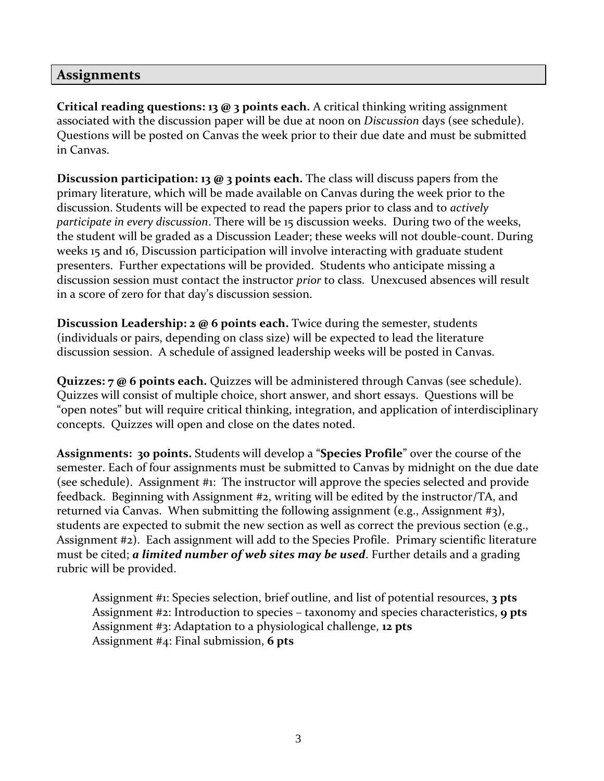### **Assignments**

**Critical reading questions: 13 @ 3 points each.** A critical thinking writing assignment associated with the discussion paper will be due at noon on *Discussion* days (see schedule). Questions will be posted on Canvas the week prior to their due date and must be submitted in Canvas.

**Discussion participation: 13 @ 3 points each.** The class will discuss papers from the primary literature, which will be made available on Canvas during the week prior to the discussion. Students will be expected to read the papers prior to class and to *actively participate in every discussion*. There will be 15 discussion weeks. During two of the weeks, the student will be graded as a Discussion Leader; these weeks will not double-count. During weeks 15 and 16, Discussion participation will involve interacting with graduate student presenters. Further expectations will be provided. Students who anticipate missing a discussion session must contact the instructor *prior* to class. Unexcused absences will result in a score of zero for that day's discussion session.

**Discussion Leadership: 2 @ 6 points each.** Twice during the semester, students (individuals or pairs, depending on class size) will be expected to lead the literature discussion session. A schedule of assigned leadership weeks will be posted in Canvas.

**Quizzes: 7 @ 6 points each.** Quizzes will be administered through Canvas (see schedule). Quizzes will consist of multiple choice, short answer, and short essays. Questions will be "open notes" but will require critical thinking, integration, and application of interdisciplinary concepts. Quizzes will open and close on the dates noted.

**Assignments: 30 points.** Students will develop a "**Species Profile**" over the course of the semester. Each of four assignments must be submitted to Canvas by midnight on the due date (see schedule). Assignment #1: The instructor will approve the species selected and provide feedback. Beginning with Assignment #2, writing will be edited by the instructor/TA, and returned via Canvas. When submitting the following assignment (e.g., Assignment #3), students are expected to submit the new section as well as correct the previous section (e.g., Assignment #2). Each assignment will add to the Species Profile. Primary scientific literature must be cited; *a limited number of web sites may be used*. Further details and a grading rubric will be provided.

Assignment #1: Species selection, brief outline, and list of potential resources, **3 pts** Assignment #2: Introduction to species – taxonomy and species characteristics, **9 pts** Assignment #3: Adaptation to a physiological challenge, **12 pts** Assignment #4: Final submission, **6 pts**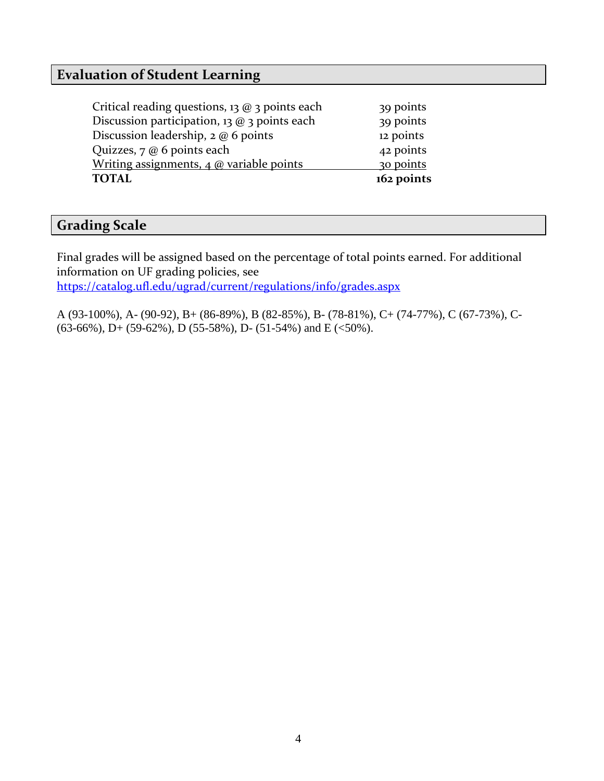## **Evaluation of Student Learning**

Critical reading questions, 13 @ 3 points each 39 points Discussion participation, 13 @ 3 points each 39 points Discussion leadership, 2 @ 6 points 12 points Quizzes, 7 @ 6 points each 42 points Writing assignments,  $4 \omega$  variable points 30 points **TOTAL 162 points**

### **Grading Scale**

Final grades will be assigned based on the percentage of total points earned. For additional information on UF grading policies, see <https://catalog.ufl.edu/ugrad/current/regulations/info/grades.aspx>

A (93-100%), A- (90-92), B+ (86-89%), B (82-85%), B- (78-81%), C+ (74-77%), C (67-73%), C-  $(63-66\%)$ , D+ $(59-62\%)$ , D $(55-58\%)$ , D- $(51-54\%)$  and E $(<50\%)$ .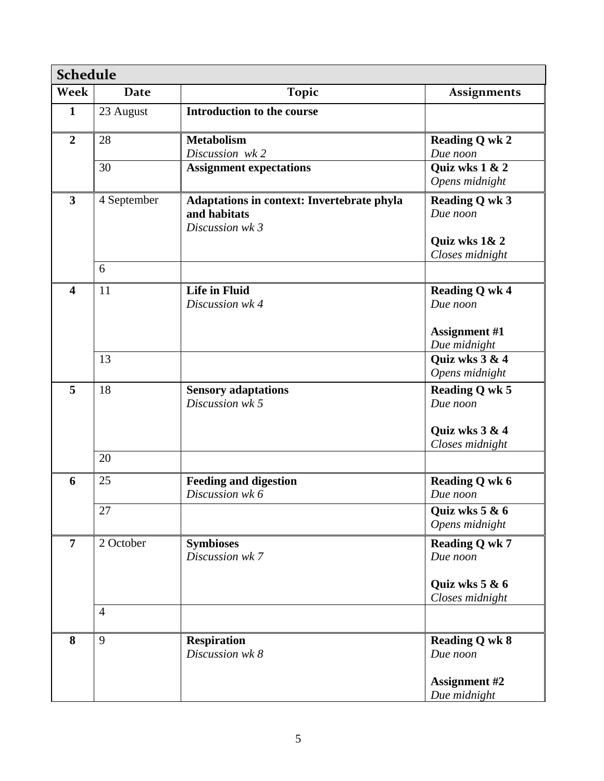| <b>Schedule</b>         |                |                                                   |                                  |  |
|-------------------------|----------------|---------------------------------------------------|----------------------------------|--|
| Week                    | Date           | <b>Topic</b>                                      | <b>Assignments</b>               |  |
| $\mathbf{1}$            | 23 August      | <b>Introduction to the course</b>                 |                                  |  |
| $\overline{2}$          | 28             | <b>Metabolism</b>                                 | <b>Reading Q wk 2</b>            |  |
|                         |                | Discussion wk2                                    | Due noon                         |  |
|                         | 30             | <b>Assignment expectations</b>                    | Quiz wks 1 & 2                   |  |
|                         |                |                                                   | Opens midnight                   |  |
| $\overline{3}$          | 4 September    | <b>Adaptations in context: Invertebrate phyla</b> | <b>Reading Q wk 3</b>            |  |
|                         |                | and habitats                                      | Due noon                         |  |
|                         |                | Discussion wk 3                                   |                                  |  |
|                         |                |                                                   | Quiz wks 1& 2<br>Closes midnight |  |
|                         | 6              |                                                   |                                  |  |
|                         |                |                                                   |                                  |  |
| $\overline{\mathbf{4}}$ | 11             | <b>Life in Fluid</b>                              | <b>Reading Q wk 4</b>            |  |
|                         |                | Discussion wk 4                                   | Due noon                         |  |
|                         |                |                                                   | <b>Assignment #1</b>             |  |
|                         |                |                                                   | Due midnight                     |  |
|                         | 13             |                                                   | Quiz wks 3 & 4                   |  |
|                         |                |                                                   | Opens midnight                   |  |
| 5                       | 18             | <b>Sensory adaptations</b>                        | <b>Reading Q wk 5</b>            |  |
|                         |                | Discussion wk 5                                   | Due noon                         |  |
|                         |                |                                                   |                                  |  |
|                         |                |                                                   | Quiz wks 3 & 4                   |  |
|                         |                |                                                   | Closes midnight                  |  |
|                         | 20             |                                                   |                                  |  |
| 6                       | 25             | <b>Feeding and digestion</b>                      | <b>Reading Q wk 6</b>            |  |
|                         |                | Discussion wk 6                                   | Due noon                         |  |
|                         | 27             |                                                   | Quiz wks 5 & 6                   |  |
|                         |                |                                                   | Opens midnight                   |  |
| $\overline{7}$          | 2 October      | <b>Symbioses</b>                                  | <b>Reading Q wk 7</b>            |  |
|                         |                | Discussion wk 7                                   | Due noon                         |  |
|                         |                |                                                   |                                  |  |
|                         |                |                                                   | Quiz wks $5 & 6$                 |  |
|                         | $\overline{4}$ |                                                   | Closes midnight                  |  |
|                         |                |                                                   |                                  |  |
| 8                       | 9              | <b>Respiration</b>                                | <b>Reading Q wk 8</b>            |  |
|                         |                | Discussion wk 8                                   | Due noon                         |  |
|                         |                |                                                   |                                  |  |
|                         |                |                                                   | <b>Assignment #2</b>             |  |
|                         |                |                                                   | Due midnight                     |  |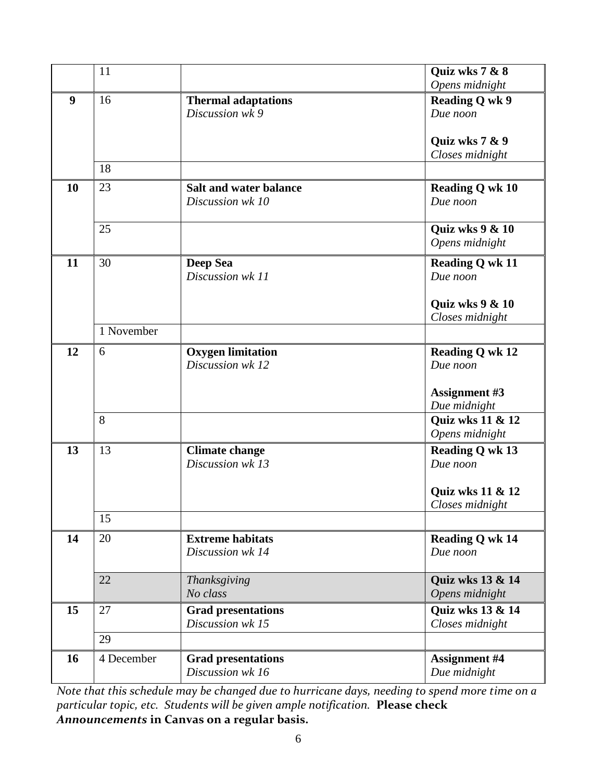|    | 11         |                                                   | Quiz wks 7 & 8                       |
|----|------------|---------------------------------------------------|--------------------------------------|
|    |            |                                                   | Opens midnight                       |
| 9  | 16         | <b>Thermal adaptations</b><br>Discussion wk 9     | <b>Reading Q wk 9</b><br>Due noon    |
|    |            |                                                   | Quiz wks 7 & 9<br>Closes midnight    |
|    | 18         |                                                   |                                      |
| 10 | 23         | <b>Salt and water balance</b><br>Discussion wk 10 | <b>Reading Q wk 10</b><br>Due noon   |
|    | 25         |                                                   | Quiz wks 9 & 10<br>Opens midnight    |
| 11 | 30         | <b>Deep Sea</b><br>Discussion wk 11               | <b>Reading Q wk 11</b><br>Due noon   |
|    |            |                                                   | Quiz wks $9 & 10$<br>Closes midnight |
|    | 1 November |                                                   |                                      |
| 12 | 6          | <b>Oxygen limitation</b><br>Discussion wk 12      | <b>Reading Q wk 12</b><br>Due noon   |
|    |            |                                                   | <b>Assignment #3</b><br>Due midnight |
|    | 8          |                                                   | Quiz wks 11 & 12<br>Opens midnight   |
| 13 | 13         | <b>Climate change</b><br>Discussion wk 13         | <b>Reading Q wk 13</b><br>Due noon   |
|    |            |                                                   | Quiz wks 11 & 12<br>Closes midnight  |
|    | 15         |                                                   |                                      |
| 14 | 20         | <b>Extreme habitats</b><br>Discussion wk 14       | <b>Reading Q wk 14</b><br>Due noon   |
|    | 22         | Thanksgiving<br>No class                          | Quiz wks 13 & 14<br>Opens midnight   |
| 15 | 27         | <b>Grad presentations</b><br>Discussion wk 15     | Quiz wks 13 & 14<br>Closes midnight  |
|    | 29         |                                                   |                                      |
| 16 | 4 December | <b>Grad presentations</b><br>Discussion wk 16     | <b>Assignment #4</b><br>Due midnight |

*Note that this schedule may be changed due to hurricane days, needing to spend more time on a particular topic, etc. Students will be given ample notification.* **Please check**  *Announcements* **in Canvas on a regular basis.**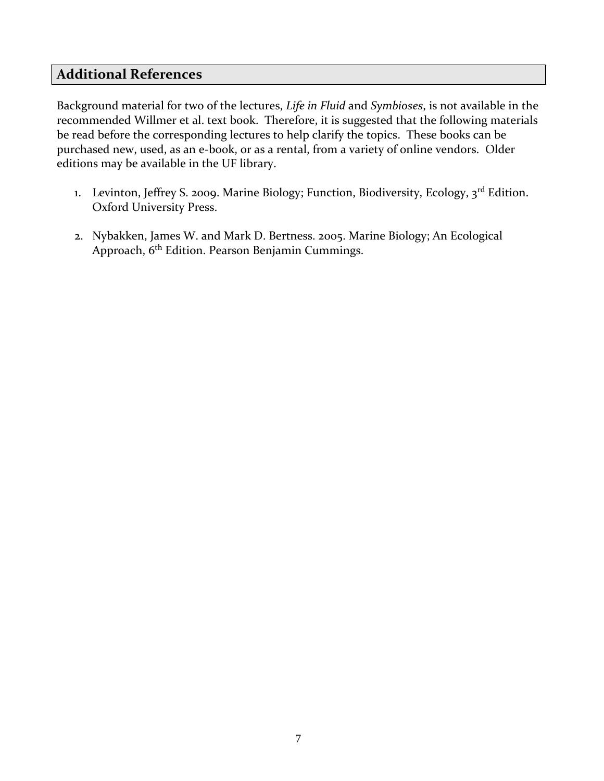## **Additional References**

Background material for two of the lectures, *Life in Fluid* and *Symbioses*, is not available in the recommended Willmer et al. text book. Therefore, it is suggested that the following materials be read before the corresponding lectures to help clarify the topics. These books can be purchased new, used, as an e-book, or as a rental, from a variety of online vendors. Older editions may be available in the UF library.

- 1. Levinton, Jeffrey S. 2009. Marine Biology; Function, Biodiversity, Ecology, 3<sup>rd</sup> Edition. Oxford University Press.
- 2. Nybakken, James W. and Mark D. Bertness. 2005. Marine Biology; An Ecological Approach, 6th Edition. Pearson Benjamin Cummings.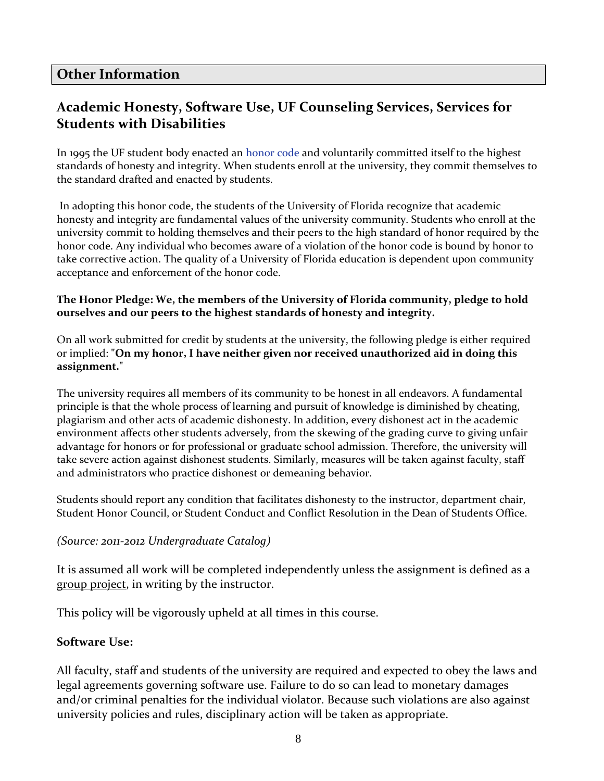### **Other Information**

# **Academic Honesty, Software Use, UF Counseling Services, Services for Students with Disabilities**

In 1995 the UF student body enacted an [honor code](http://www.dso.ufl.edu/sccr/honorcodes/honorcode.php) and voluntarily committed itself to the highest standards of honesty and integrity. When students enroll at the university, they commit themselves to the standard drafted and enacted by students.

In adopting this honor code, the students of the University of Florida recognize that academic honesty and integrity are fundamental values of the university community. Students who enroll at the university commit to holding themselves and their peers to the high standard of honor required by the honor code. Any individual who becomes aware of a violation of the honor code is bound by honor to take corrective action. The quality of a University of Florida education is dependent upon community acceptance and enforcement of the honor code.

#### **The Honor Pledge: We, the members of the University of Florida community, pledge to hold ourselves and our peers to the highest standards of honesty and integrity.**

On all work submitted for credit by students at the university, the following pledge is either required or implied: **"On my honor, I have neither given nor received unauthorized aid in doing this assignment."**

The university requires all members of its community to be honest in all endeavors. A fundamental principle is that the whole process of learning and pursuit of knowledge is diminished by cheating, plagiarism and other acts of academic dishonesty. In addition, every dishonest act in the academic environment affects other students adversely, from the skewing of the grading curve to giving unfair advantage for honors or for professional or graduate school admission. Therefore, the university will take severe action against dishonest students. Similarly, measures will be taken against faculty, staff and administrators who practice dishonest or demeaning behavior.

Students should report any condition that facilitates dishonesty to the instructor, department chair, Student Honor Council, or Student Conduct and Conflict Resolution in the Dean of Students Office.

#### *(Source: 2011-2012 Undergraduate Catalog)*

It is assumed all work will be completed independently unless the assignment is defined as a group project, in writing by the instructor.

This policy will be vigorously upheld at all times in this course.

### **Software Use:**

All faculty, staff and students of the university are required and expected to obey the laws and legal agreements governing software use. Failure to do so can lead to monetary damages and/or criminal penalties for the individual violator. Because such violations are also against university policies and rules, disciplinary action will be taken as appropriate.